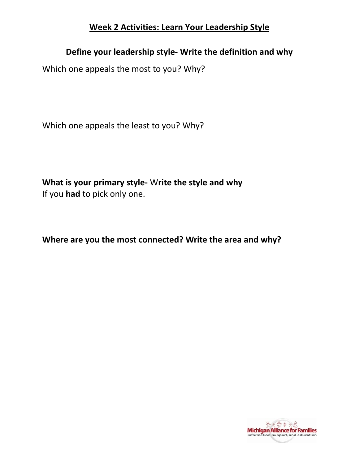## **Week 2 Activities: Learn Your Leadership Style**

# **Define your leadership style- Write the definition and why**

Which one appeals the most to you? Why?

Which one appeals the least to you? Why?

 **What is your primary style-** W**rite the style and why**  If you **had** to pick only one.

 **Where are you the most connected? Write the area and why?** 

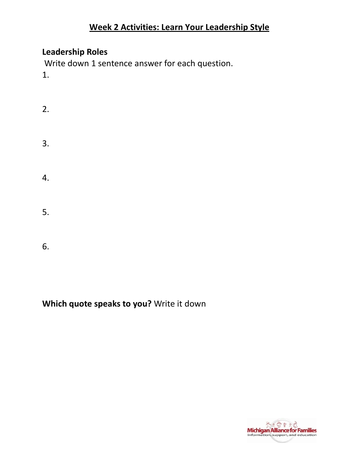## **Week 2 Activities: Learn Your Leadership Style**

## **Leadership Roles**

6.

Write down 1 sentence answer for each question.  $1.$ 

 $2.$  $3.$ 4. 5.

# Which quote speaks to you? Write it down